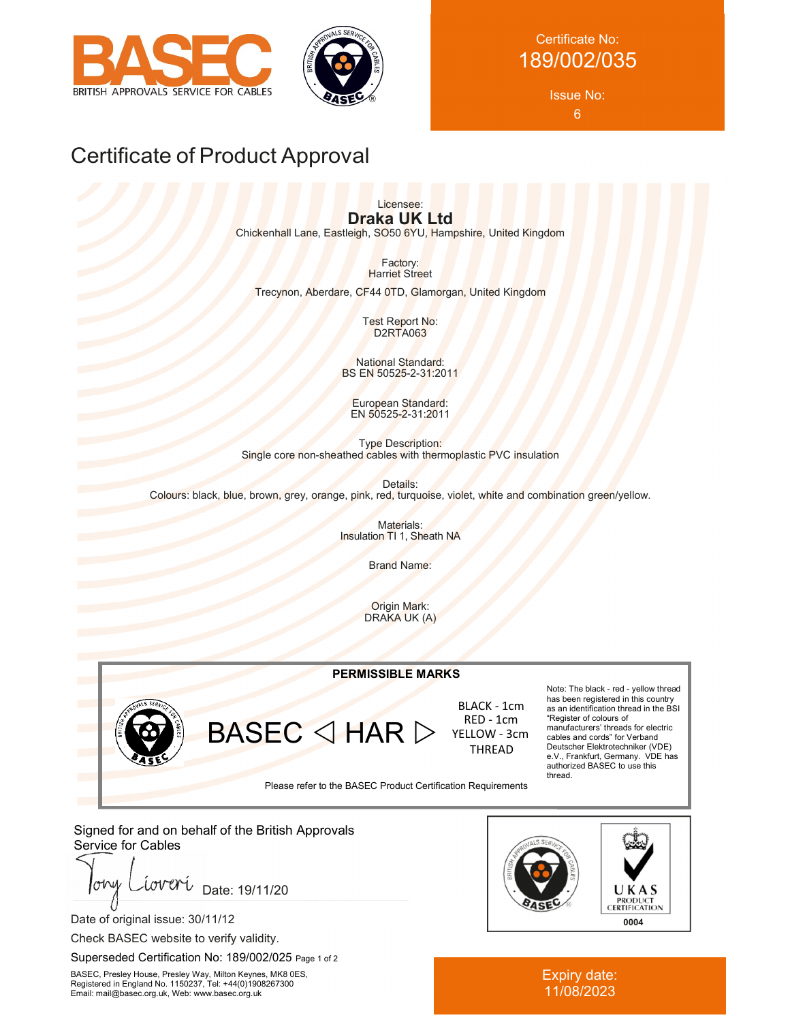



# Certificate No: 189/002/035

Issue No: 6

# Certificate of Product Approval

Licensee: **Draka UK Ltd**

Chickenhall Lane, Eastleigh, SO50 6YU, Hampshire, United Kingdom

Factory: **Harriet Street** 

Trecynon, Aberdare, CF44 0TD, Glamorgan, United Kingdom

Test Report No: D2RTA063

National Standard: BS EN 50525-2-31:2011

European Standard: EN 50525-2-31:2011

Type Description: Single core non-sheathed cables with thermoplastic PVC insulation

Details: Colours: black, blue, brown, grey, orange, pink, red, turquoise, violet, white and combination green/yellow.

> Materials: Insulation TI 1, Sheath NA

> > Brand Name:

Origin Mark: DRAKA UK (A)

#### **PERMISSIBLE MARKS**



 $BASEC \triangleleft HAR \triangleright$ 

 BLACK - 1cm RED - 1cm YELLOW - 3cm THREAD

Note: The black - red - yellow thread has been registered in this country as an identification thread in the BSI "Register of colours of manufacturers' threads for electric cables and cords" for Verband Deutscher Elektrotechniker (VDE) e.V., Frankfurt, Germany. VDE has authorized BASEC to use this thread.

Please refer to the BASEC Product Certification Requirements

Signed for and on behalf of the British Approvals Service for Cables

lohy wveri Date: 19/11/20

Date of original issue: 30/11/12

Check BASEC website to verify validity.

Superseded Certification No: 189/002/025 Page 1 of 2

BASEC, Presley House, Presley Way, Milton Keynes, MK8 0ES, Registered in England No. 1150237, Tel: +44(0)1908267300 Email: mail@basec.org.uk, Web: www.basec.org.uk



Expiry date: 11/08/2023